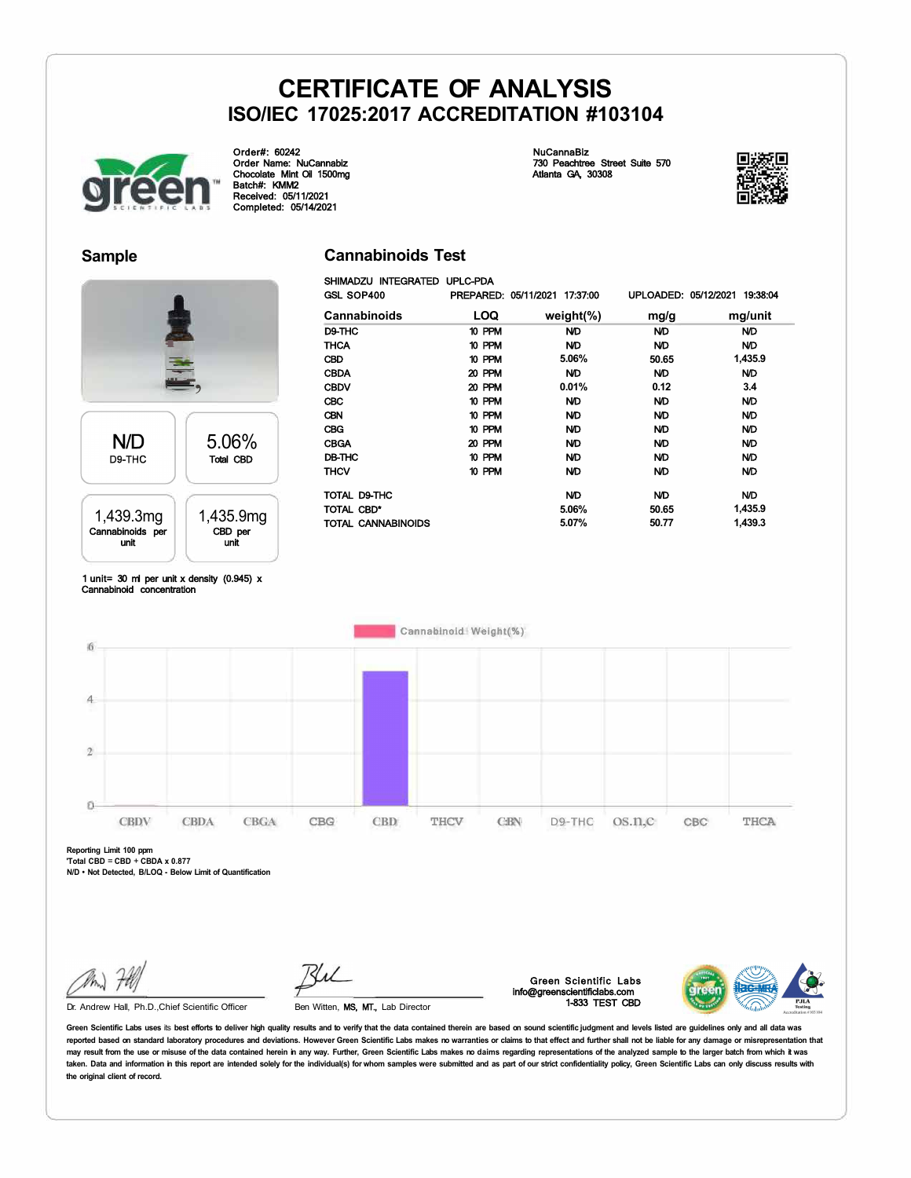**Cannabinoids Test**  SHIMADZU INTEGRATED UPLC-PDA



Order#: 60242 Order Name: NuCannabiz Chocolate Mint Oil 1500mg Batch#: KMM2 Received: 05/11/2021 Completed: 05/14/2021

NuCannaBiz 730 Peachtree Street Suite 570 Atlanta GA, 30308



### **Sample**



#### GSL SOP400 PREPARED: 05/11/2021 17:37:00 UPLOADED: 05/12/2021 19:38:04 **Cannabinoids LOQ weight(%) mg/g**  D9-THC 10 PPM N/D N/D THCA 10 PPM N/D N/D CBD 10 PPM **5.06% 50.65**  CBDA 20 PPM N/D N/D CBDV 20 PPM **0.01% 0.12**  CBC 10 PPM N/D N/D CBN 10 PPM N/D N/D CBG 10 PPM N/D N/D CBGA 20 PPM N/D N/D<br>DB-THC 10 PPM N/D N/D DB-THC 10 PPM N/D N/D THCV 10 PPM N/D N/D TOTAL D9-THC ND ND ND TOTAL CBD\* **5.06% 50.65**  TOTAL CANNABINOIDS **5.07% 50.77 mg/unit**  N/D N/D **1,435.9**  N/D **3.4**  N/D N/D N/D N/D N/D N/D N/D **1,435.9 1,439.3**

1 unit= 30 ml per unit x density (0.945) x Cannabinoid concentration



**Reporting Limit 100 ppm 'Total CBD** = **CBD** + **CBDA x 0.877** 

**N/D • Not Detected, B/LOQ - Below Limit of Quantification** 

Dr. Andrew Hall, Ph.D.,Chief Scientific Officer

Ben Witten, MS, MT., Lab Director

Green Scientific Labs info@greenscientificlabs.com 1-833 TEST CBD

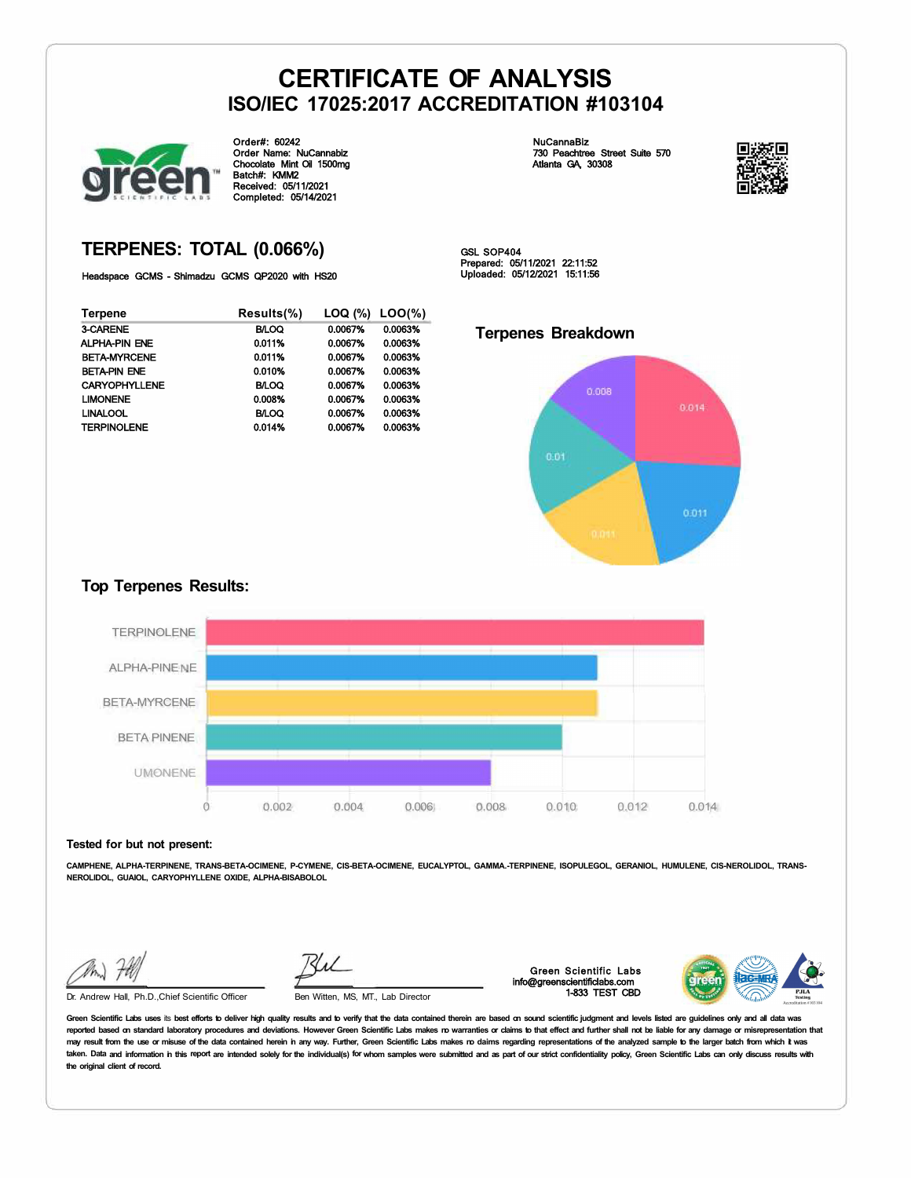

Order#: 60242 Order Name: NuCannabiz Chocolate Mint Oil 1500mg Batch#: KMM2 Received: 05/11/2021 Completed: 05/14/2021

NuCannaBiz 730 Peachtree Street Suite 570 Atlanta GA, 30308



### **TERPENES: TOTAL (0.066%)**

Headspace GCMS - Shimadzu GCMS QP2020 with HS20

| <b>Terpene</b>       | Results(%)   | LOQ (%) | $LOO(\% )$ |
|----------------------|--------------|---------|------------|
| 3-CARENE             | <b>B/LOQ</b> | 0.0067% | 0.0063%    |
| <b>ALPHA-PIN ENE</b> | 0.011%       | 0.0067% | 0.0063%    |
| <b>BETA-MYRCENE</b>  | 0.011%       | 0.0067% | 0.0063%    |
| <b>BETA-PIN ENE</b>  | 0.010%       | 0.0067% | 0.0063%    |
| <b>CARYOPHYLLENE</b> | <b>BILOQ</b> | 0.0067% | 0.0063%    |
| <b>LIMONENE</b>      | 0.008%       | 0.0067% | 0.0063%    |
| <b>LINALOOL</b>      | <b>BLOQ</b>  | 0.0067% | 0.0063%    |
| <b>TERPINOLENE</b>   | 0.014%       | 0.0067% | 0.0063%    |

GSL SOP404 Prepared: 05/11/2021 22:11:52 Uploaded: 05/12/2021 15:11:56

### **Terpenes Breakdown**



### **Top Terpenes Results:**



#### **Tested for but not present:**

**CAMPHENE, ALPHA-TERPINENE, TRANS-BETA-OCIMENE, P-CYMENE, CIS-BETA-OCIMENE, EUCALYPTOL, GAMMA.-TERPINENE, ISOPULEGOL, GERANIOL, HUMULENE, CIS-NEROLIDOL, TRANS-NEROLIDOL, GUAIOL, CARYOPHYLLENE OXIDE, ALPHA-BISABOLOL** 

Dr. Andrew Hall, Ph.D.,Chief Scientific Officer Ben Witten, MS, MT., Lab Director

Green Scientific Labs info@greenscientificlabs.com 1-833 TEST CBD

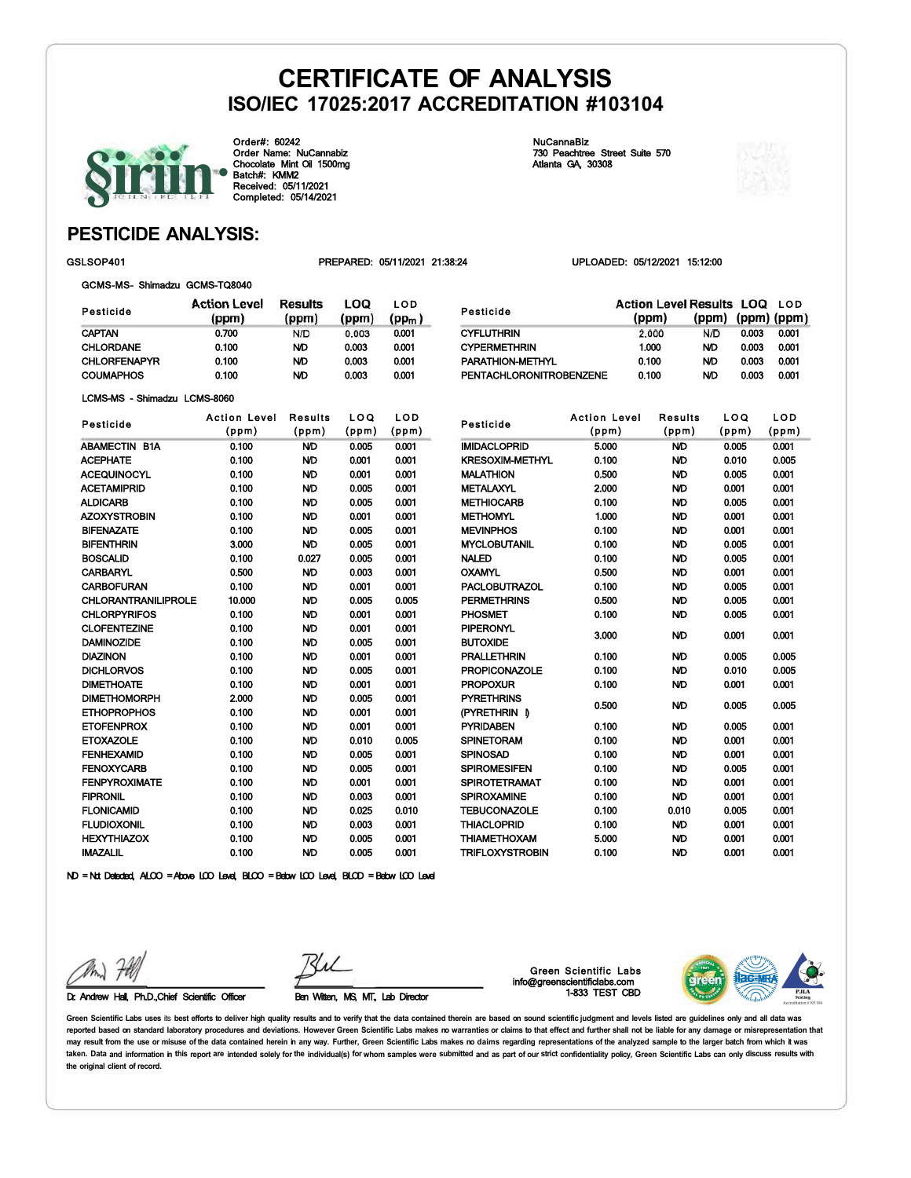Pesticide **CYFLUTHRIN** 



Order#: 60242 Order Name: NuCannabiz Chocolate Mint Oil 1500mg Batch#: KMM2 Received: 05/11/2021 Completed: 05/14/2021

NuCannaBiz 730 Peachtree Street Suite 570 Atlanta GA, 30308

CYPERMETHRIN 1.000 PARATHION-METHYL 0.100

PROPOXUR 0.100

PTRETHRIN **I** 0.500 PYRIDABEN 0.100 SPINETORAM 0.100 SPINOSAD 0.100 SPIROMESIFEN 0.100 SPIROTETRAMAT 0.100 SPIROXAMINE 0.100 TEBUCONAZOLE 0.100 THIACLOPRID 0.100 THIAMETHOXAM 5.000 TRIFLOXYSTROBIN 0.100

**PYRETHRINS** 



0.003 0.001 N/D 0.003 0.001 N/D 0.003 0.001

(ppm) (ppm) (ppm)

### **PESTICIDE ANALYSIS:**

GSLSOP401 PREPARED: 05/11/2021 21:38:24 UPLOADED: 05/12/2021 15:12:00

(ppm)

2.000

Action Level Results LOQ LOD

 $N/D$ 

|  | GCMS-MS- Shimadzu GCMS-TQ8040 |  |
|--|-------------------------------|--|
|  |                               |  |

| Pesticide           | <b>Action Level</b><br>(ppm) | Results<br>(ppm) | LOQ<br>(ppm) | LOD<br>(pp <sub>m</sub> ) |
|---------------------|------------------------------|------------------|--------------|---------------------------|
| <b>CAPTAN</b>       | 0.700                        | N/D              | 0.003        | 0.001                     |
| <b>CHLORDANE</b>    | 0.100                        | ND               | 0.003        | 0.001                     |
| <b>CHLORFENAPYR</b> | 0.100                        | ND.              | 0.003        | 0.001                     |
| <b>COUMAPHOS</b>    | 0.100                        | ND               | 0.003        | 0.001                     |

|  | LCMS-MS - Shimadzu LCMS-8060 |
|--|------------------------------|
|  |                              |

| Pesticide                  | <b>Action Level</b> | <b>Results</b> | LOQ   | LOD   |
|----------------------------|---------------------|----------------|-------|-------|
|                            | (ppm)               | (ppm)          | (ppm) | (ppm) |
| <b>ABAMECTIN B1A</b>       | 0.100               | <b>ND</b>      | 0.005 | 0.001 |
| <b>ACEPHATE</b>            | 0.100               | ND             | 0.001 | 0.001 |
| <b>ACEQUINOCYL</b>         | 0.100               | <b>ND</b>      | 0.001 | 0.001 |
| <b>ACETAMIPRID</b>         | 0.100               | <b>ND</b>      | 0.005 | 0.001 |
| <b>ALDICARB</b>            | 0.100               | <b>ND</b>      | 0.005 | 0.001 |
| <b>AZOXYSTROBIN</b>        | 0.100               | <b>ND</b>      | 0.001 | 0.001 |
| <b>BIFENAZATE</b>          | 0.100               | ND             | 0.005 | 0.001 |
| <b>BIFENTHRIN</b>          | 3.000               | ND             | 0.005 | 0.001 |
| <b>BOSCALID</b>            | 0.100               | 0.027          | 0.005 | 0.001 |
| <b>CARBARYL</b>            | 0.500               | <b>ND</b>      | 0.003 | 0.001 |
| <b>CARBOFURAN</b>          | 0.100               | <b>ND</b>      | 0.001 | 0.001 |
| <b>CHLORANTRANILIPROLE</b> | 10.000              | <b>ND</b>      | 0.005 | 0.005 |
| <b>CHLORPYRIFOS</b>        | 0.100               | ND             | 0.001 | 0.001 |
| <b>CLOFENTEZINE</b>        | 0.100               | ND             | 0.001 | 0.001 |
| <b>DAMINOZIDE</b>          | 0.100               | ND             | 0.005 | 0.001 |
| <b>DIAZINON</b>            | 0.100               | ND             | 0.001 | 0.001 |
| <b>DICHLORVOS</b>          | 0.100               | ND             | 0.005 | 0.001 |
| <b>DIMETHOATE</b>          | 0.100               | <b>ND</b>      | 0.001 | 0.001 |
| <b>DIMETHOMORPH</b>        | 2.000               | <b>ND</b>      | 0.005 | 0.001 |
| <b>ETHOPROPHOS</b>         | 0.100               | <b>ND</b>      | 0.001 | 0.001 |
| <b>ETOFENPROX</b>          | 0.100               | <b>ND</b>      | 0.001 | 0.001 |
| <b>ETOXAZOLE</b>           | 0.100               | <b>ND</b>      | 0.010 | 0.005 |
| <b>FENHEXAMID</b>          | 0.100               | ND             | 0.005 | 0.001 |
| <b>FENOXYCARB</b>          | 0.100               | ND             | 0.005 | 0.001 |
| <b>FENPYROXIMATE</b>       | 0.100               | <b>ND</b>      | 0.001 | 0.001 |
| <b>FIPRONIL</b>            | 0.100               | <b>ND</b>      | 0.003 | 0.001 |
| <b>FLONICAMID</b>          | 0.100               | <b>ND</b>      | 0.025 | 0.010 |
| <b>FLUDIOXONIL</b>         | 0.100               | <b>ND</b>      | 0.003 | 0.001 |
| <b>HEXYTHIAZOX</b>         | 0.100               | ND             | 0.005 | 0.001 |
| <b>IMAZALIL</b>            | 0.100               | <b>ND</b>      | 0.005 | 0.001 |

| PENTACHLORONITROBENZENE             |                     | 0.100     | 0.003<br>ND | 0.001 |
|-------------------------------------|---------------------|-----------|-------------|-------|
| Pesticide                           | <b>Action Level</b> | Results   | LOQ         | LOD   |
|                                     | (ppm)               | (ppm)     | (ppm)       | (ppm) |
| <b>IMIDACLOPRID</b>                 | 5.000               | ND        | 0.005       | 0.001 |
| <b>KRESOXIM-METHYL</b>              | 0.100               | ND        | 0.010       | 0.005 |
| <b>MALATHION</b>                    | 0.500               | ND        | 0.005       | 0.001 |
| <b>METALAXYL</b>                    | 2.000               | ND        | 0.001       | 0.001 |
| <b>METHIOCARB</b>                   | 0.100               | ND        | 0.005       | 0.001 |
| <b>METHOMYL</b>                     | 1.000               | ND        | 0.001       | 0.001 |
| <b>MEVINPHOS</b>                    | 0.100               | ND        | 0.001       | 0.001 |
| <b>MYCLOBUTANIL</b>                 | 0.100               | ND        | 0.005       | 0.001 |
| <b>NALED</b>                        | 0.100               | ND        | 0.005       | 0.001 |
| <b>OXAMYL</b>                       | 0.500               | ND        | 0.001       | 0.001 |
| <b>PACLOBUTRAZOL</b>                | 0.100               | <b>ND</b> | 0.005       | 0.001 |
| <b>PERMETHRINS</b>                  | 0.500               | ND        | 0.005       | 0.001 |
| PHOSMET                             | 0.100               | ND        | 0.005       | 0.001 |
| <b>PIPERONYL</b><br><b>BUTOXIDE</b> | 3.000               | ND        | 0.001       | 0.001 |
| <b>PRALLETHRIN</b>                  | 0.100               | ND        | 0.005       | 0.005 |
| <b>PROPICONAZOLE</b>                | 0.100               | ND        | 0.010       | 0.005 |

N/D N/D N/D N/D N/D N/D N/D N/D 0.010 N/D N/D N/D

ND = Not Detected, ALCO = Above LCO Level, BLCO = Below LCO Level, BLCD = Below LCO Level

Dr. Andrew Hall, Ph.D.,Chief Scientific Officer Ben Witten, MS, MT, Lab Director

Green Scientific Labs info@greenscientificlabs.com 1-833 TEST CBD



0.001 0.001 0.005 0.005 0.005 0.001 0.001 0.001 0.001 0.001 0.005 0.001 0.001 0.001 0.001 0.001 0.005 0.001 0.001 0.001 0.001 0.001 0.001 0.001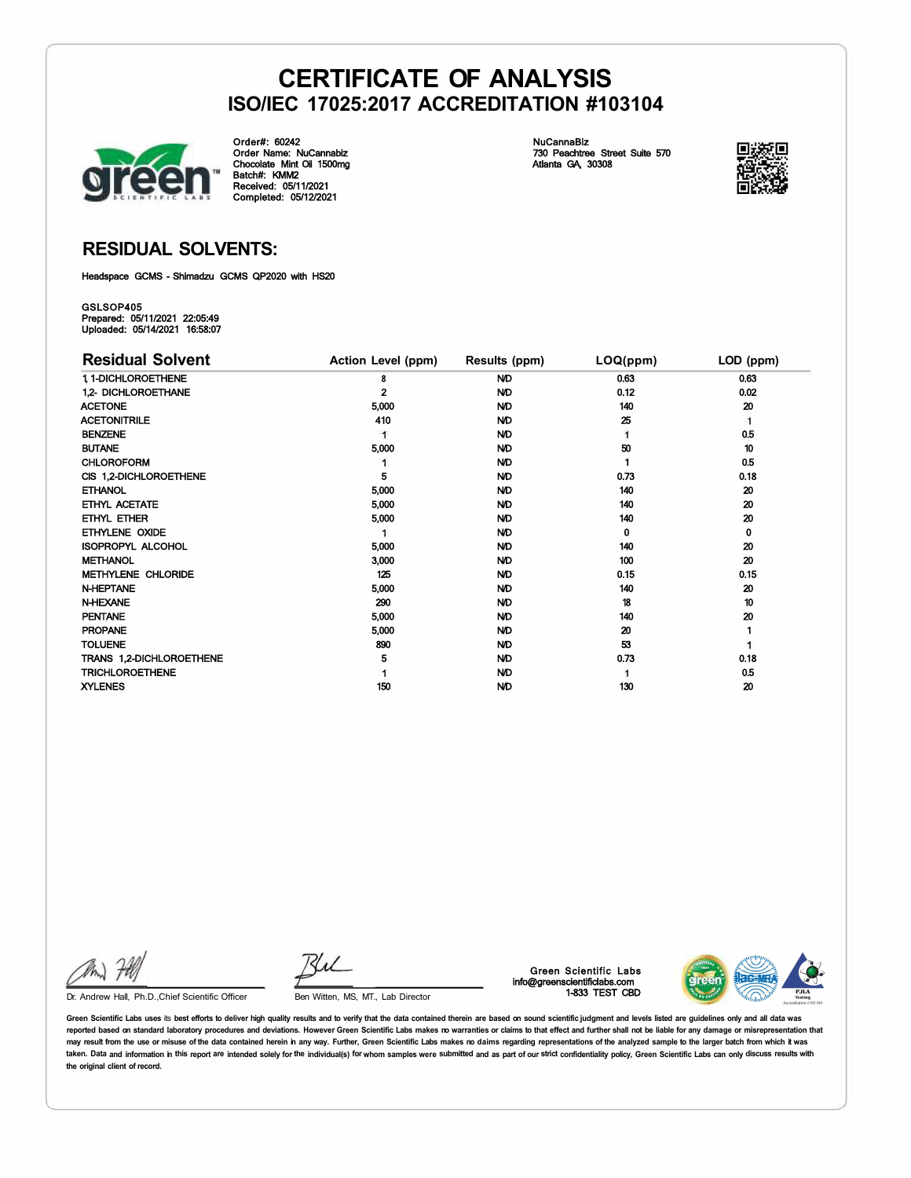

Order#: 60242 Order Name: NuCannabiz Chocolate Mint Oil 1500mg Batch#: KMM2 Received: 05/11/2021 Completed: 05/12/2021 NuCannaBiz 730 Peachtree Street Suite 570 Atlanta GA, 30308



### **RESIDUAL SOLVENTS:**

Headspace GCMS - Shimadzu GCMS QP2020 with HS20

GSLSOP405 Prepared: 05/11/2021 22:05:49 Uploaded: 05/14/2021 16:58:07

| <b>Residual Solvent</b>  | Action Level (ppm) | Results (ppm) | LOQ(ppm) | LOD (ppm) |
|--------------------------|--------------------|---------------|----------|-----------|
| 1, 1-DICHLOROETHENE      | 8                  | <b>ND</b>     | 0.63     | 0.63      |
| 1.2- DICHLOROETHANE      |                    | <b>ND</b>     | 0.12     | 0.02      |
| <b>ACETONE</b>           | 5,000              | <b>ND</b>     | 140      | 20        |
| <b>ACETONITRILE</b>      | 410                | <b>ND</b>     | 25       | 1         |
| <b>BENZENE</b>           |                    | <b>ND</b>     |          | 0.5       |
| <b>BUTANE</b>            | 5,000              | <b>ND</b>     | 50       | 10        |
| <b>CHLOROFORM</b>        |                    | <b>ND</b>     |          | 0.5       |
| CIS 1,2-DICHLOROETHENE   | 5                  | ND.           | 0.73     | 0.18      |
| <b>ETHANOL</b>           | 5,000              | ND.           | 140      | 20        |
| ETHYL ACETATE            | 5,000              | <b>ND</b>     | 140      | 20        |
| ETHYL ETHER              | 5,000              | <b>ND</b>     | 140      | 20        |
| ETHYLENE OXIDE           |                    | <b>ND</b>     | 0        | 0         |
| <b>ISOPROPYL ALCOHOL</b> | 5,000              | <b>ND</b>     | 140      | 20        |
| <b>METHANOL</b>          | 3,000              | ND.           | 100      | 20        |
| METHYLENE CHLORIDE       | 125                | <b>ND</b>     | 0.15     | 0.15      |
| <b>N-HEPTANE</b>         | 5,000              | ND.           | 140      | 20        |
| <b>N-HEXANE</b>          | 290                | ND.           | 18       | 10        |
| <b>PENTANE</b>           | 5,000              | ND            | 140      | 20        |
| <b>PROPANE</b>           | 5,000              | ND            | 20       |           |
| <b>TOLUENE</b>           | 890                | <b>ND</b>     | 53       |           |
| TRANS 1,2-DICHLOROETHENE | 5                  | <b>ND</b>     | 0.73     | 0.18      |
| <b>TRICHLOROETHENE</b>   |                    | <b>ND</b>     |          | 0.5       |
| <b>XYLENES</b>           | 150                | <b>ND</b>     | 130      | 20        |

Kul

Dr. Andrew Hall, Ph.D., Chief Scientific Officer Ben Witten, MS, MT., Lab Director

Green Scientific Labs info@greenscientificlabs.com 1-833 TEST CBD

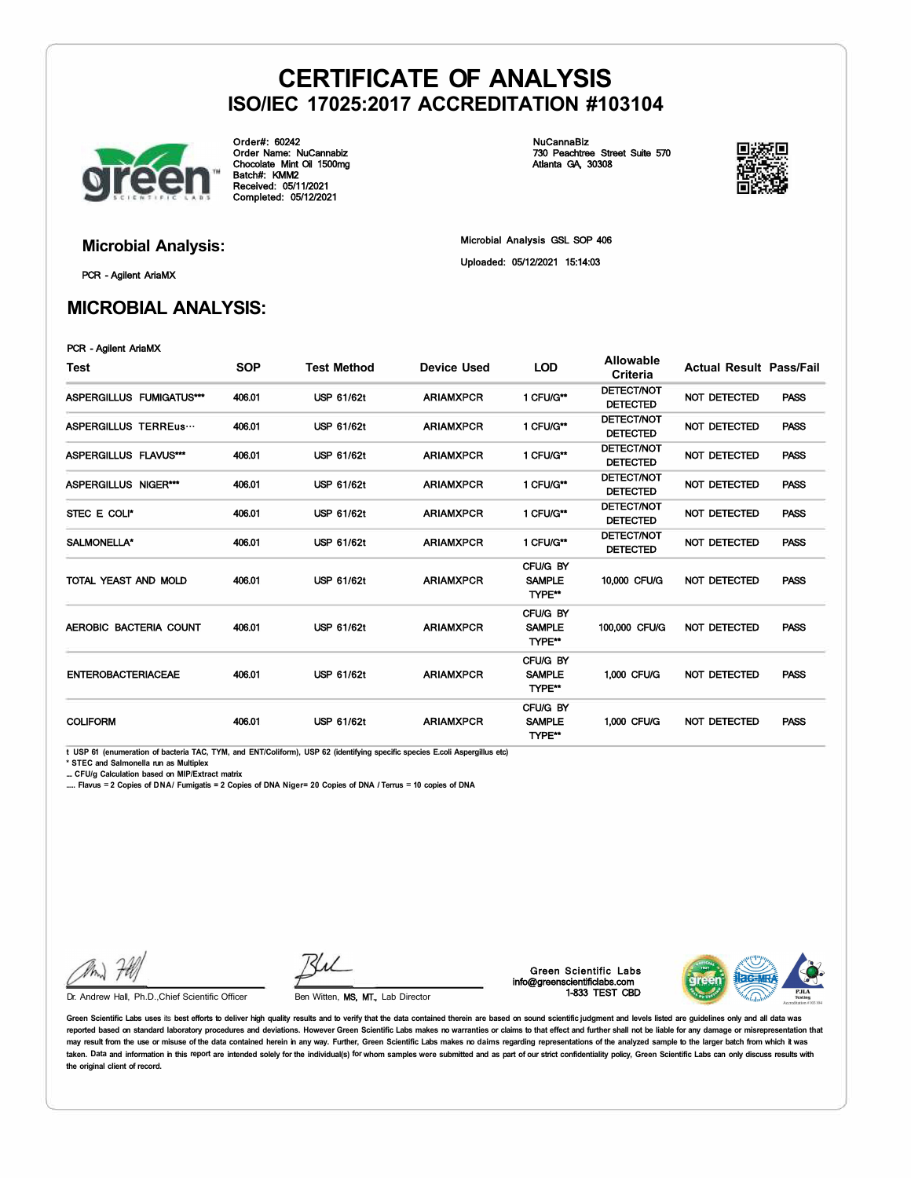

Order#: 60242 Order Name: NuCannabiz Chocolate Mint Oil 1500mg Batch#: KMM2 Received: 05/11/2021 Completed: 05/12/2021 NuCannaBiz 730 Peachtree Street Suite 570 Atlanta GA, 30308



PCR - Agilent AriaMX

### **MICROBIAL ANALYSIS:**

**Microbial Analysis:** Microbial Analysis GSL SOP 406 Uploaded: 05/12/2021 15:14:03

PCR - Agilent AriaMX

| Test                      | <b>SOP</b> | <b>Test Method</b> | Device Used      | <b>LOD</b>                          | Allowable<br>Criteria                | <b>Actual Result Pass/Fail</b> |             |
|---------------------------|------------|--------------------|------------------|-------------------------------------|--------------------------------------|--------------------------------|-------------|
| ASPERGILLUS FUMIGATUS***  | 406.01     | <b>USP 61/62t</b>  | <b>ARIAMXPCR</b> | 1 CFU/G**                           | <b>DETECT/NOT</b><br><b>DETECTED</b> | NOT DETECTED                   | <b>PASS</b> |
| ASPERGILLUS TERREus       | 406.01     | <b>USP 61/62t</b>  | <b>ARIAMXPCR</b> | 1 CFU/G**                           | <b>DETECT/NOT</b><br><b>DETECTED</b> | NOT DETECTED                   | <b>PASS</b> |
| ASPERGILLUS FLAVUS***     | 406.01     | USP 61/62t         | <b>ARIAMXPCR</b> | 1 CFU/G**                           | <b>DETECT/NOT</b><br><b>DETECTED</b> | <b>NOT DETECTED</b>            | <b>PASS</b> |
| ASPERGILLUS NIGER***      | 406.01     | <b>USP 61/62t</b>  | <b>ARIAMXPCR</b> | 1 CFU/G**                           | <b>DETECT/NOT</b><br><b>DETECTED</b> | <b>NOT DETECTED</b>            | <b>PASS</b> |
| STEC E COLI*              | 406.01     | <b>USP 61/62t</b>  | <b>ARIAMXPCR</b> | 1 CFU/G**                           | <b>DETECT/NOT</b><br><b>DETECTED</b> | <b>NOT DETECTED</b>            | <b>PASS</b> |
| SALMONELLA*               | 406.01     | <b>USP 61/62t</b>  | <b>ARIAMXPCR</b> | 1 CFU/G**                           | <b>DETECT/NOT</b><br><b>DETECTED</b> | <b>NOT DETECTED</b>            | <b>PASS</b> |
| TOTAL YEAST AND MOLD      | 406.01     | <b>USP 61/62t</b>  | <b>ARIAMXPCR</b> | CFU/G BY<br><b>SAMPLE</b><br>TYPE** | 10,000 CFU/G                         | NOT DETECTED                   | <b>PASS</b> |
| AEROBIC BACTERIA COUNT    | 406.01     | <b>USP 61/62t</b>  | <b>ARIAMXPCR</b> | CFU/G BY<br><b>SAMPLE</b><br>TYPE** | 100,000 CFU/G                        | <b>NOT DETECTED</b>            | <b>PASS</b> |
| <b>ENTEROBACTERIACEAE</b> | 406.01     | <b>USP 61/62t</b>  | <b>ARIAMXPCR</b> | CFU/G BY<br><b>SAMPLE</b><br>TYPE** | 1,000 CFU/G                          | NOT DETECTED                   | <b>PASS</b> |
| <b>COLIFORM</b>           | 406.01     | <b>USP 61/62t</b>  | <b>ARIAMXPCR</b> | CFU/G BY<br><b>SAMPLE</b><br>TYPE** | 1,000 CFU/G                          | NOT DETECTED                   | <b>PASS</b> |

**t USP 61 (enumeration of bacteria TAC, TYM, and ENT/Coliform), USP 62 (identifying specific species E.coli Aspergillus etc)** 

**\* STEC and Salmonella run as Multiplex** 

**.... CFU/g Calculation based on MIP/Extract matrix** 

**..... Flavus** = **2 Copies of DNA/ Fumigatis = 2 Copies of DNA Niger= 20 Copies of DNA** *I* **Terrus** = **10 copies of DNA** 

Ku

Dr. Andrew Hall, Ph.D., Chief Scientific Officer Ben Witten, MS, MT., Lab Director

Green Scientific Labs info@greenscientificlabs.com 1-833 TEST CBD